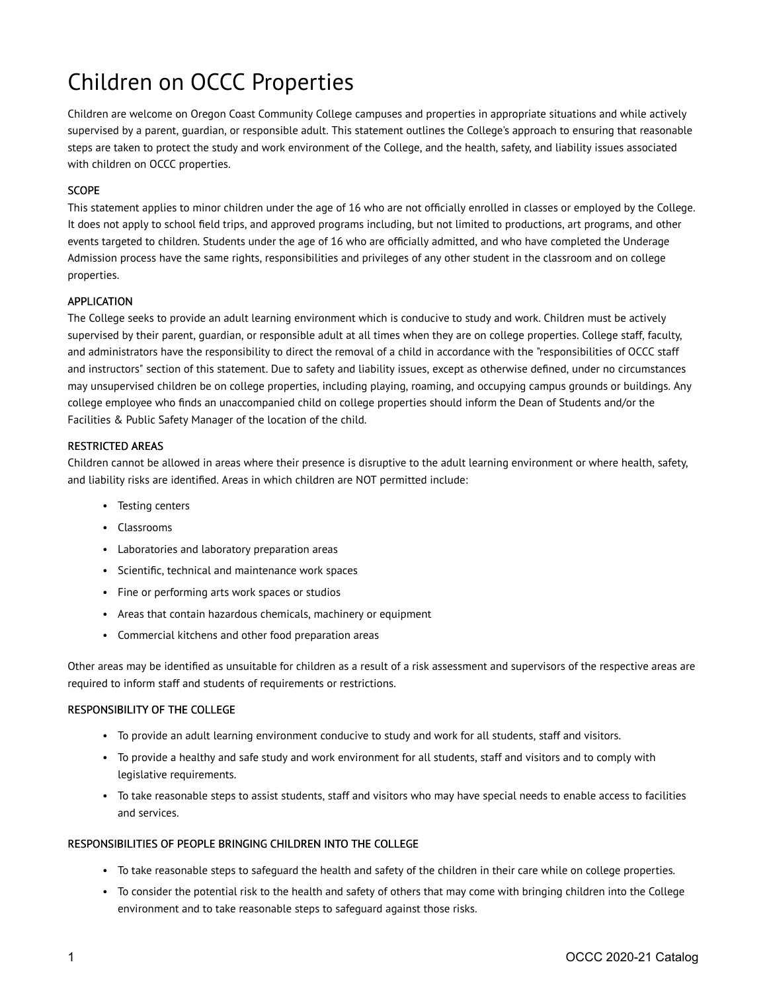# Children on OCCC Properties

Children are welcome on Oregon Coast Community College campuses and properties in appropriate situations and while actively supervised by a parent, guardian, or responsible adult. This statement outlines the College's approach to ensuring that reasonable steps are taken to protect the study and work environment of the College, and the health, safety, and liability issues associated with children on OCCC properties.

# SCOPE

This statement applies to minor children under the age of 16 who are not officially enrolled in classes or employed by the College. It does not apply to school field trips, and approved programs including, but not limited to productions, art programs, and other events targeted to children. Students under the age of 16 who are officially admitted, and who have completed the Underage Admission process have the same rights, responsibilities and privileges of any other student in the classroom and on college properties.

## APPLICATION

The College seeks to provide an adult learning environment which is conducive to study and work. Children must be actively supervised by their parent, guardian, or responsible adult at all times when they are on college properties. College staff, faculty, and administrators have the responsibility to direct the removal of a child in accordance with the "responsibilities of OCCC staff and instructors" section of this statement. Due to safety and liability issues, except as otherwise defined, under no circumstances may unsupervised children be on college properties, including playing, roaming, and occupying campus grounds or buildings. Any college employee who finds an unaccompanied child on college properties should inform the Dean of Students and/or the Facilities & Public Safety Manager of the location of the child.

#### RESTRICTED AREAS

Children cannot be allowed in areas where their presence is disruptive to the adult learning environment or where health, safety, and liability risks are identified. Areas in which children are NOT permitted include:

- Testing centers
- Classrooms
- Laboratories and laboratory preparation areas
- Scientific, technical and maintenance work spaces
- Fine or performing arts work spaces or studios
- Areas that contain hazardous chemicals, machinery or equipment
- Commercial kitchens and other food preparation areas

Other areas may be identified as unsuitable for children as a result of a risk assessment and supervisors of the respective areas are required to inform staff and students of requirements or restrictions.

#### RESPONSIBILITY OF THE COLLEGE

- To provide an adult learning environment conducive to study and work for all students, staff and visitors.
- To provide a healthy and safe study and work environment for all students, staff and visitors and to comply with legislative requirements.
- To take reasonable steps to assist students, staff and visitors who may have special needs to enable access to facilities and services.

## RESPONSIBILITIES OF PEOPLE BRINGING CHILDREN INTO THE COLLEGE

- To take reasonable steps to safeguard the health and safety of the children in their care while on college properties.
- To consider the potential risk to the health and safety of others that may come with bringing children into the College environment and to take reasonable steps to safeguard against those risks.